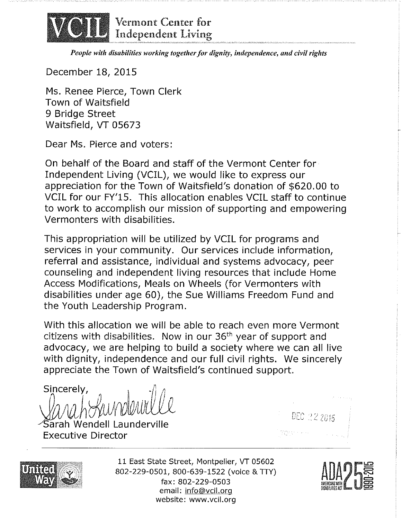

*People with disabilities working together for dignity, independence, and civil rights* 

December 18, 2015

Ms. Renee Pierce, Town Clerk Town of Waitsfield 9 Bridge Street Waitsfield, VT 05673

Dear Ms. Pierce and voters:

On behalf of the Board and staff of the Vermont Center for Independent Living (VCIL), we would like to express our appreciation for the Town of Waitsfield's donation of \$620.00 to VCIL for our FY'l5. This allocation enables VCIL staff to continue to work to accomplish our mission of supporting and empowering Vermonters with disabilities.

This appropriation will be utilized by VCIL for programs and services in your community. Our services include information, referral and assistance, individual and systems advocacy, peer counseling and independent living resources that include Home Access Modifications, Meals on Wheels (for Vermonters with disabilities under age 60), the Sue Williams Freedom Fund and the Youth Leadership Program.

With this allocation we will be able to reach even more Vermont citizens with disabilities. Now in our  $36<sup>th</sup>$  year of support and advocacy, we are helping to build a society where we can all live with dignity, independence and our full civil rights. We sincerely appreciate the Town of Waitsfield's continued support.

Sincerely,

 $\tilde{\mathsf{s}}$ arah Wendell Launderville Executive Director





11 East State Street, Montpelier, VT 05602 802-229-0501, 800-639-1522 (voice & TIY) fax: 802-229-0503 email: info@vcil.org website: www.vcil.org

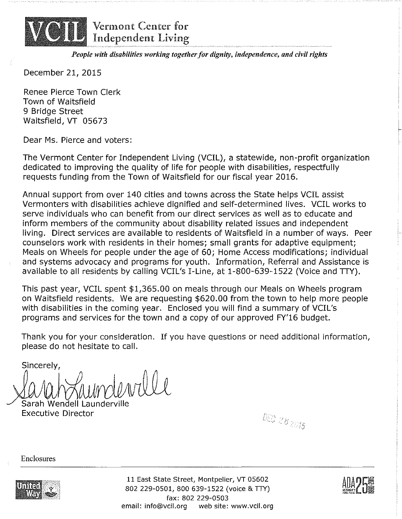

*People with disabilities working together for dignity, independence, and civil rights* 

December 21, 2015

Renee Pierce Town Clerk Town of Waitsfield 9 Bridge Street Waitsfield, VT 05673

Dear Ms. Pierce and voters:

The Vermont Center for Independent Living (VCIL), a statewide, non-profit organization dedicated to improving the quality of life for people with disabilities, respectfully requests funding from the Town of Waitsfield for our fiscal year 2016.

Annual support from over 140 cities and towns across the State helps VCIL assist Vermonters with disabilities achieve dignified and self-determined lives. VCIL works to serve individuals who can benefit from our direct services as well as to educate and inform members of the community about disability related issues and independent living. Direct services are available to residents of Waitsfield in a number of ways. Peer counselors work with residents in their homes; small grants for adaptive equipment; Meals on Wheels for people under the age of 60; Home Access modifications; individual and systems advocacy and programs for youth. Information, Referral and Assistance is available to all residents by calling VCIL's I-Line, at 1-800-639-1522 (Voice and TTY).

This past year, VCIL spent \$1,365.00 on meals through our Meals on Wheels program on Waitsfield residents. We are requesting \$620.00 from the town to help more people with disabilities in the coming year. Enclosed you will find a summary of VCIL's programs and services for the town and a copy of our approved FY'l6 budget.

Thank you for your consideration. If you have questions or need additional information, please do not hesitate to call.

Sincerely,

Sarah Wendell Launderville Executive Director

000 28 2015

Enclosures



11 East State Street, Montpelier, VT 05602 802 229-0501, 800 639-1522 (voice & TTY) fax: 802 229-0503 email: info@vcil.org web site: www.vcil.org

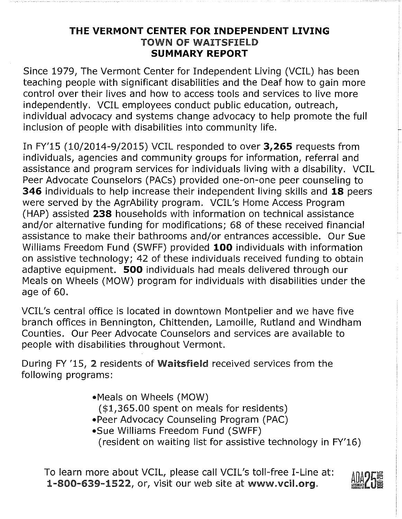## **THE VERMONT CENTER FOR INDEPENDENT LIVING**  TOWN Of WAITSFIELD **SUMMARY REPORT**

Since 1979, The Vermont Center for Independent Living (VCIL) has been teaching people with significant disabilities and the Deaf how to gain more control over their lives and how to access tools and services to live more independently. VCIL employees conduct public education, outreach, individual advocacy and systems change advocacy to help promote the full inclusion of people with disabilities into community life.

In FY<sup>1</sup> 15 (10/2014-9/2015) VCIL responded to over **3,265** requests from individuals, agencies and community groups for information, referral and assistance and program services for individuals living with a disability. VCIL Peer Advocate Counselors (PACs) provided one-on-one peer counseling to **346** individuals to help increase their independent living skills and **18** peers were served by the AgrAbility program. VCIL's Home Access Program (HAP) assisted **238** households with information on technical assistance and/or alternative funding for modifications; 68 of these received financial assistance to make their bathrooms and/or entrances accessible. Our Sue Williams Freedom Fund (SWFF) provided **100** individuals with information on assistive technology; 42 of these individuals received funding to obtain adaptive equipment. **500** individuals had meals delivered through our Meals on Wheels (MOW) program for individuals with disabilities under the age of 60.

VCIL's central office is located in downtown Montpelier and we have five branch offices in Bennington, Chittenden, Lamoille, Rutland and Windham Counties. Our Peer Advocate Counselors and services are available to people with disabilities throughout Vermont.

During FY '15, 2 residents of Waitsfield received services from the following programs:

- •Meals on Wheels (MOW)
	- (\$1,365.00 spent on meals for residents)
- •Peer Advocacy Counseling Program (PAC)
- •Sue Williams Freedom Fund (SWFF) (resident on waiting list for assistive technology in FY'16)

To learn more about VCIL, please call VCIL's toll-free I-Line at: 1-800-639-1522, or, visit our web site at www.vcil.org.